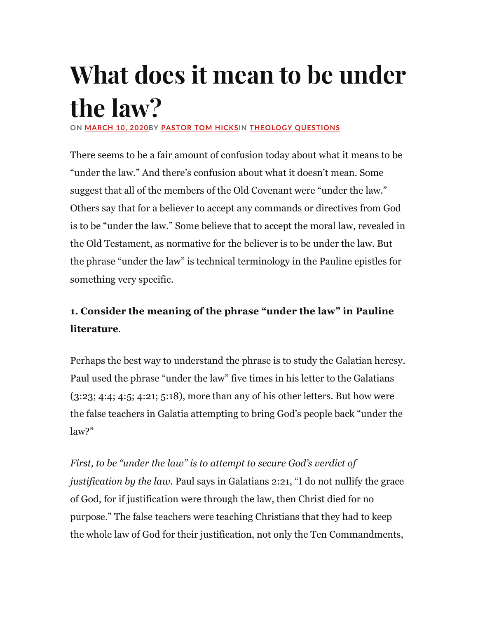# What does it mean to be under the law?

ON MARCH 10, 2020BY PASTOR TOM HICKSIN THEOLOGY QUESTIONS

There seems to be a fair amount of confusion today about what it means to be "under the law." And there's confusion about what it doesn't mean. Some suggest that all of the members of the Old Covenant were "under the law." Others say that for a believer to accept any commands or directives from God is to be "under the law." Some believe that to accept the moral law, revealed in the Old Testament, as normative for the believer is to be under the law. But the phrase "under the law" is technical terminology in the Pauline epistles for something very specific.

## 1. Consider the meaning of the phrase "under the law" in Pauline literature.

Perhaps the best way to understand the phrase is to study the Galatian heresy. Paul used the phrase "under the law" five times in his letter to the Galatians (3:23; 4:4; 4:5; 4:21; 5:18), more than any of his other letters. But how were the false teachers in Galatia attempting to bring God's people back "under the law?"

First, to be "under the law" is to attempt to secure God's verdict of justification by the law. Paul says in Galatians 2:21, "I do not nullify the grace of God, for if justification were through the law, then Christ died for no purpose." The false teachers were teaching Christians that they had to keep the whole law of God for their justification, not only the Ten Commandments,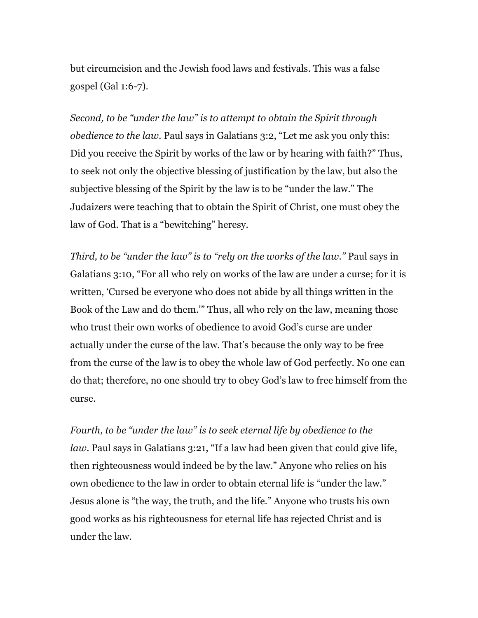but circumcision and the Jewish food laws and festivals. This was a false gospel (Gal 1:6-7).

Second, to be "under the law" is to attempt to obtain the Spirit through obedience to the law. Paul says in Galatians 3:2, "Let me ask you only this: Did you receive the Spirit by works of the law or by hearing with faith?" Thus, to seek not only the objective blessing of justification by the law, but also the subjective blessing of the Spirit by the law is to be "under the law." The Judaizers were teaching that to obtain the Spirit of Christ, one must obey the law of God. That is a "bewitching" heresy.

Third, to be "under the law" is to "rely on the works of the law." Paul says in Galatians 3:10, "For all who rely on works of the law are under a curse; for it is written, 'Cursed be everyone who does not abide by all things written in the Book of the Law and do them.'" Thus, all who rely on the law, meaning those who trust their own works of obedience to avoid God's curse are under actually under the curse of the law. That's because the only way to be free from the curse of the law is to obey the whole law of God perfectly. No one can do that; therefore, no one should try to obey God's law to free himself from the curse.

Fourth, to be "under the law" is to seek eternal life by obedience to the law. Paul says in Galatians 3:21, "If a law had been given that could give life, then righteousness would indeed be by the law." Anyone who relies on his own obedience to the law in order to obtain eternal life is "under the law." Jesus alone is "the way, the truth, and the life." Anyone who trusts his own good works as his righteousness for eternal life has rejected Christ and is under the law.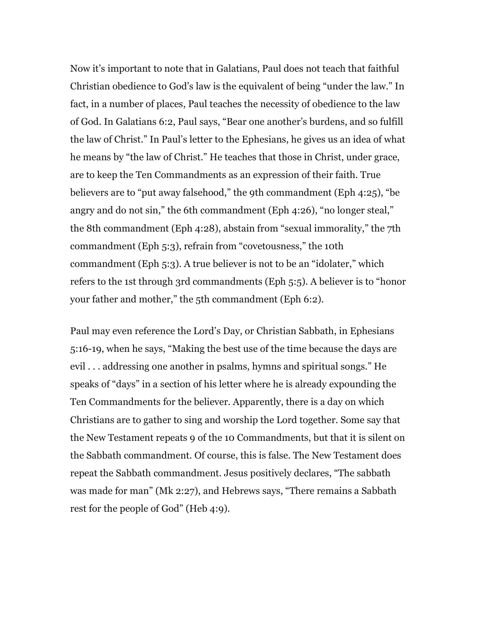Now it's important to note that in Galatians, Paul does not teach that faithful Christian obedience to God's law is the equivalent of being "under the law." In fact, in a number of places, Paul teaches the necessity of obedience to the law of God. In Galatians 6:2, Paul says, "Bear one another's burdens, and so fulfill the law of Christ." In Paul's letter to the Ephesians, he gives us an idea of what he means by "the law of Christ." He teaches that those in Christ, under grace, are to keep the Ten Commandments as an expression of their faith. True believers are to "put away falsehood," the 9th commandment (Eph 4:25), "be angry and do not sin," the 6th commandment (Eph 4:26), "no longer steal," the 8th commandment (Eph 4:28), abstain from "sexual immorality," the 7th commandment (Eph 5:3), refrain from "covetousness," the 10th commandment (Eph 5:3). A true believer is not to be an "idolater," which refers to the 1st through 3rd commandments (Eph 5:5). A believer is to "honor your father and mother," the 5th commandment (Eph 6:2).

Paul may even reference the Lord's Day, or Christian Sabbath, in Ephesians 5:16-19, when he says, "Making the best use of the time because the days are evil . . . addressing one another in psalms, hymns and spiritual songs." He speaks of "days" in a section of his letter where he is already expounding the Ten Commandments for the believer. Apparently, there is a day on which Christians are to gather to sing and worship the Lord together. Some say that the New Testament repeats 9 of the 10 Commandments, but that it is silent on the Sabbath commandment. Of course, this is false. The New Testament does repeat the Sabbath commandment. Jesus positively declares, "The sabbath was made for man" (Mk 2:27), and Hebrews says, "There remains a Sabbath rest for the people of God" (Heb 4:9).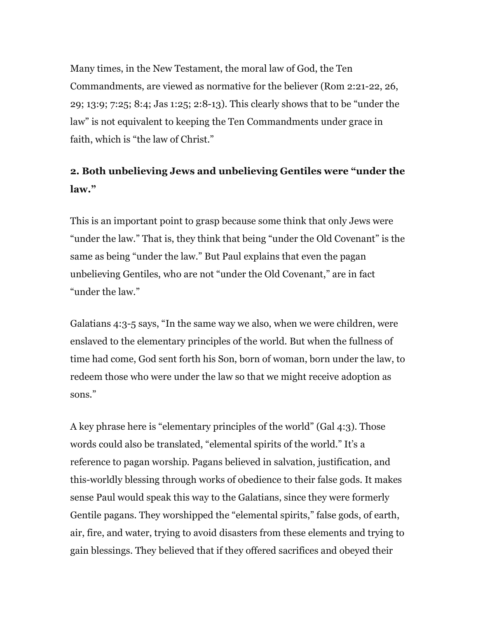Many times, in the New Testament, the moral law of God, the Ten Commandments, are viewed as normative for the believer (Rom 2:21-22, 26, 29; 13:9; 7:25; 8:4; Jas 1:25; 2:8-13). This clearly shows that to be "under the law" is not equivalent to keeping the Ten Commandments under grace in faith, which is "the law of Christ."

## 2. Both unbelieving Jews and unbelieving Gentiles were "under the law."

This is an important point to grasp because some think that only Jews were "under the law." That is, they think that being "under the Old Covenant" is the same as being "under the law." But Paul explains that even the pagan unbelieving Gentiles, who are not "under the Old Covenant," are in fact "under the law."

Galatians 4:3-5 says, "In the same way we also, when we were children, were enslaved to the elementary principles of the world. But when the fullness of time had come, God sent forth his Son, born of woman, born under the law, to redeem those who were under the law so that we might receive adoption as sons."

A key phrase here is "elementary principles of the world" (Gal 4:3). Those words could also be translated, "elemental spirits of the world." It's a reference to pagan worship. Pagans believed in salvation, justification, and this-worldly blessing through works of obedience to their false gods. It makes sense Paul would speak this way to the Galatians, since they were formerly Gentile pagans. They worshipped the "elemental spirits," false gods, of earth, air, fire, and water, trying to avoid disasters from these elements and trying to gain blessings. They believed that if they offered sacrifices and obeyed their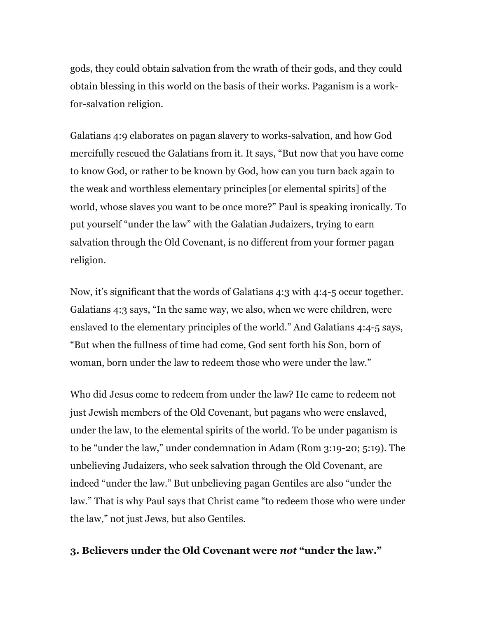gods, they could obtain salvation from the wrath of their gods, and they could obtain blessing in this world on the basis of their works. Paganism is a workfor-salvation religion.

Galatians 4:9 elaborates on pagan slavery to works-salvation, and how God mercifully rescued the Galatians from it. It says, "But now that you have come to know God, or rather to be known by God, how can you turn back again to the weak and worthless elementary principles [or elemental spirits] of the world, whose slaves you want to be once more?" Paul is speaking ironically. To put yourself "under the law" with the Galatian Judaizers, trying to earn salvation through the Old Covenant, is no different from your former pagan religion.

Now, it's significant that the words of Galatians 4:3 with 4:4-5 occur together. Galatians 4:3 says, "In the same way, we also, when we were children, were enslaved to the elementary principles of the world." And Galatians 4:4-5 says, "But when the fullness of time had come, God sent forth his Son, born of woman, born under the law to redeem those who were under the law."

Who did Jesus come to redeem from under the law? He came to redeem not just Jewish members of the Old Covenant, but pagans who were enslaved, under the law, to the elemental spirits of the world. To be under paganism is to be "under the law," under condemnation in Adam (Rom 3:19-20; 5:19). The unbelieving Judaizers, who seek salvation through the Old Covenant, are indeed "under the law." But unbelieving pagan Gentiles are also "under the law." That is why Paul says that Christ came "to redeem those who were under the law," not just Jews, but also Gentiles.

### 3. Believers under the Old Covenant were not "under the law."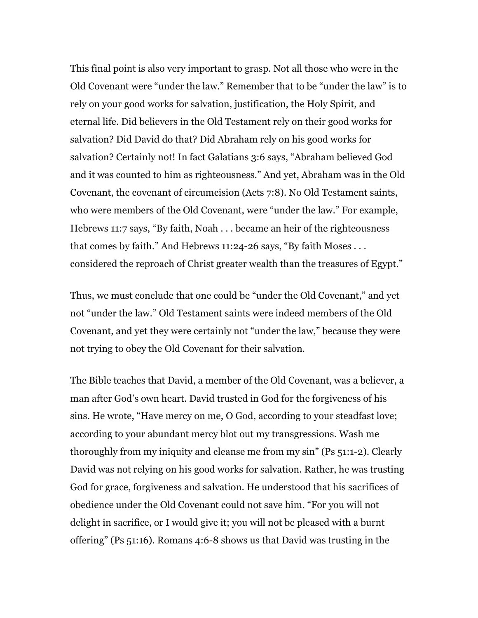This final point is also very important to grasp. Not all those who were in the Old Covenant were "under the law." Remember that to be "under the law" is to rely on your good works for salvation, justification, the Holy Spirit, and eternal life. Did believers in the Old Testament rely on their good works for salvation? Did David do that? Did Abraham rely on his good works for salvation? Certainly not! In fact Galatians 3:6 says, "Abraham believed God and it was counted to him as righteousness." And yet, Abraham was in the Old Covenant, the covenant of circumcision (Acts 7:8). No Old Testament saints, who were members of the Old Covenant, were "under the law." For example, Hebrews 11:7 says, "By faith, Noah . . . became an heir of the righteousness that comes by faith." And Hebrews 11:24-26 says, "By faith Moses . . . considered the reproach of Christ greater wealth than the treasures of Egypt."

Thus, we must conclude that one could be "under the Old Covenant," and yet not "under the law." Old Testament saints were indeed members of the Old Covenant, and yet they were certainly not "under the law," because they were not trying to obey the Old Covenant for their salvation.

The Bible teaches that David, a member of the Old Covenant, was a believer, a man after God's own heart. David trusted in God for the forgiveness of his sins. He wrote, "Have mercy on me, O God, according to your steadfast love; according to your abundant mercy blot out my transgressions. Wash me thoroughly from my iniquity and cleanse me from my sin" (Ps 51:1-2). Clearly David was not relying on his good works for salvation. Rather, he was trusting God for grace, forgiveness and salvation. He understood that his sacrifices of obedience under the Old Covenant could not save him. "For you will not delight in sacrifice, or I would give it; you will not be pleased with a burnt offering" (Ps 51:16). Romans 4:6-8 shows us that David was trusting in the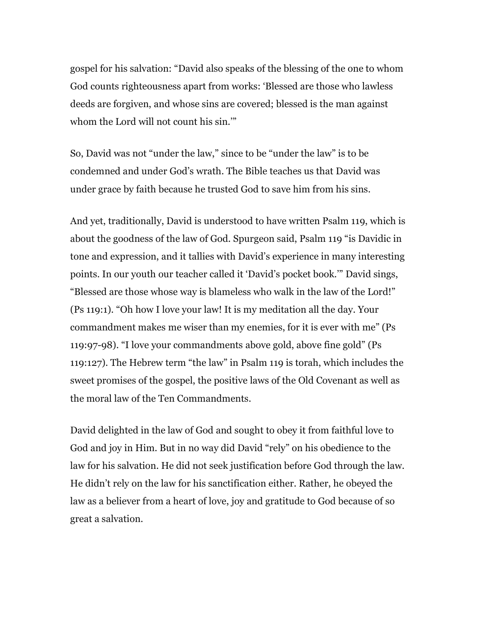gospel for his salvation: "David also speaks of the blessing of the one to whom God counts righteousness apart from works: 'Blessed are those who lawless deeds are forgiven, and whose sins are covered; blessed is the man against whom the Lord will not count his sin.'"

So, David was not "under the law," since to be "under the law" is to be condemned and under God's wrath. The Bible teaches us that David was under grace by faith because he trusted God to save him from his sins.

And yet, traditionally, David is understood to have written Psalm 119, which is about the goodness of the law of God. Spurgeon said, Psalm 119 "is Davidic in tone and expression, and it tallies with David's experience in many interesting points. In our youth our teacher called it 'David's pocket book.'" David sings, "Blessed are those whose way is blameless who walk in the law of the Lord!" (Ps 119:1). "Oh how I love your law! It is my meditation all the day. Your commandment makes me wiser than my enemies, for it is ever with me" (Ps 119:97-98). "I love your commandments above gold, above fine gold" (Ps 119:127). The Hebrew term "the law" in Psalm 119 is torah, which includes the sweet promises of the gospel, the positive laws of the Old Covenant as well as the moral law of the Ten Commandments.

David delighted in the law of God and sought to obey it from faithful love to God and joy in Him. But in no way did David "rely" on his obedience to the law for his salvation. He did not seek justification before God through the law. He didn't rely on the law for his sanctification either. Rather, he obeyed the law as a believer from a heart of love, joy and gratitude to God because of so great a salvation.